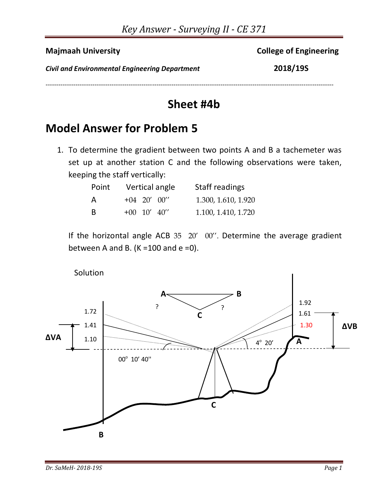| <b>Majmaah University</b>                             | <b>College of Engineering</b> |
|-------------------------------------------------------|-------------------------------|
| <b>Civil and Environmental Engineering Department</b> | 2018/19S                      |
|                                                       |                               |

## **Sheet #4b**

## **Model Answer for Problem 5**

1. To determine the gradient between two points A and B a tachemeter was set up at another station C and the following observations were taken, keeping the staff vertically:

| Point | Vertical angle | Staff readings      |
|-------|----------------|---------------------|
| A     | $+04$ 20' 00'' | 1.300, 1.610, 1.920 |
| B     | $+00$ 10' 40'' | 1.100, 1.410, 1.720 |

If the horizontal angle ACB 35 20' 00''. Determine the average gradient between A and B. ( $K = 100$  and  $e = 0$ ).

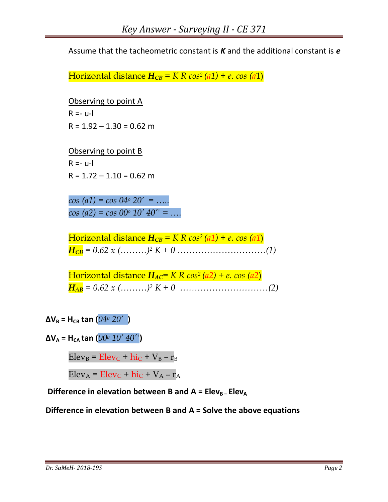Assume that the tacheometric constant is *K* and the additional constant is *e*

Horizontal distance  $H_{CB} = K R \cos^2(a_1) + e \cos(a_1)$ 

Observing to point A  $R = -u$  $R = 1.92 - 1.30 = 0.62$  m

Observing to point B  $R = -u-l$  $R = 1.72 - 1.10 = 0.62$  m

*cos (a1) = cos 04<sup>o</sup> 20' = ….. cos (a2) = cos 00 <sup>o</sup> 10' 40'' = ….*

Horizontal distance  $H_{CB} = K R \cos^2(a_1) + e \cos(a_1)$ *HCB = 0.62 x (………) <sup>2</sup> K + 0 …………………………(1)*

Horizontal distance  $H_{AC} = K R \cos^2(a2) + e \cos(a2)$  $H_{AB} = 0.62 \times ($ …………)<sup>2</sup> K + 0 …………………………………(2)

$$
\Delta V_{\text{B}} = H_{\text{CB}} \tan \left( 04^{\circ} \ 20^{\prime} \ \right)
$$

 $\Delta$ V<sub>A</sub> = H<sub>CA</sub> tan ( $00^{\circ}$   $10'$   $40'$ <sup>'</sup>)

 $Elev_B = Elev_C + \text{hi}_C + V_B - r_B$ 

 $Elev_A = Elev_C + \text{hi}_C + V_A - r_A$ 

**Difference in elevation between B and**  $A = Elev_B - Elev_A$ 

**Difference in elevation between B and A = Solve the above equations**